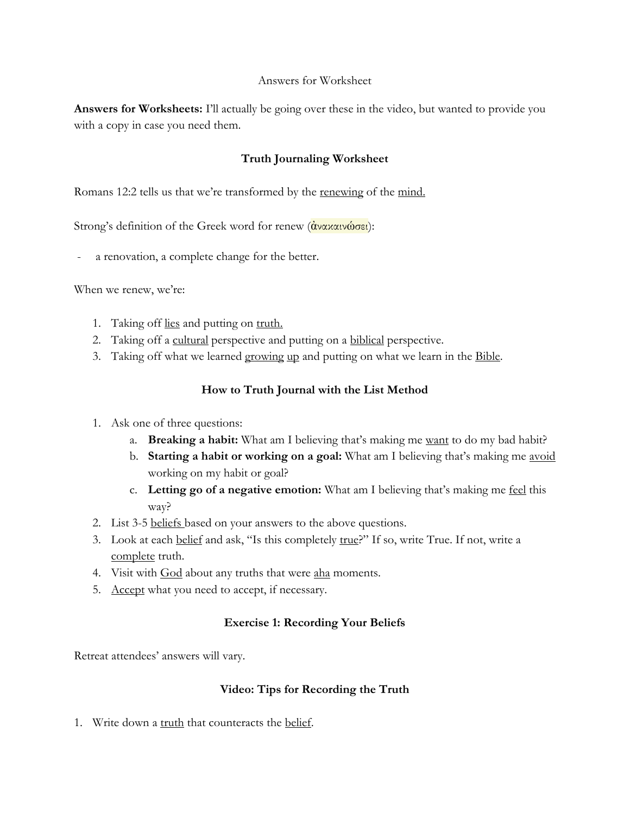#### Answers for Worksheet

**Answers for Worksheets:** I'll actually be going over these in the video, but wanted to provide you with a copy in case you need them.

# **Truth Journaling Worksheet**

Romans 12:2 tells us that we're transformed by the renewing of the mind.

Strong's definition of the Greek word for renew (άνακαινώσει):

a renovation, a complete change for the better.

When we renew, we're:

- 1. Taking off lies and putting on truth.
- 2. Taking off a cultural perspective and putting on a biblical perspective.
- 3. Taking off what we learned growing up and putting on what we learn in the Bible.

# **How to Truth Journal with the List Method**

- 1. Ask one of three questions:
	- a. **Breaking a habit:** What am I believing that's making me want to do my bad habit?
	- b. **Starting a habit or working on a goal:** What am I believing that's making me avoid working on my habit or goal?
	- c. **Letting go of a negative emotion:** What am I believing that's making me feel this way?
- 2. List 3-5 beliefs based on your answers to the above questions.
- 3. Look at each belief and ask, "Is this completely true?" If so, write True. If not, write a complete truth.
- 4. Visit with God about any truths that were aha moments.
- 5. Accept what you need to accept, if necessary.

# **Exercise 1: Recording Your Beliefs**

Retreat attendees' answers will vary.

# **Video: Tips for Recording the Truth**

1. Write down a truth that counteracts the belief.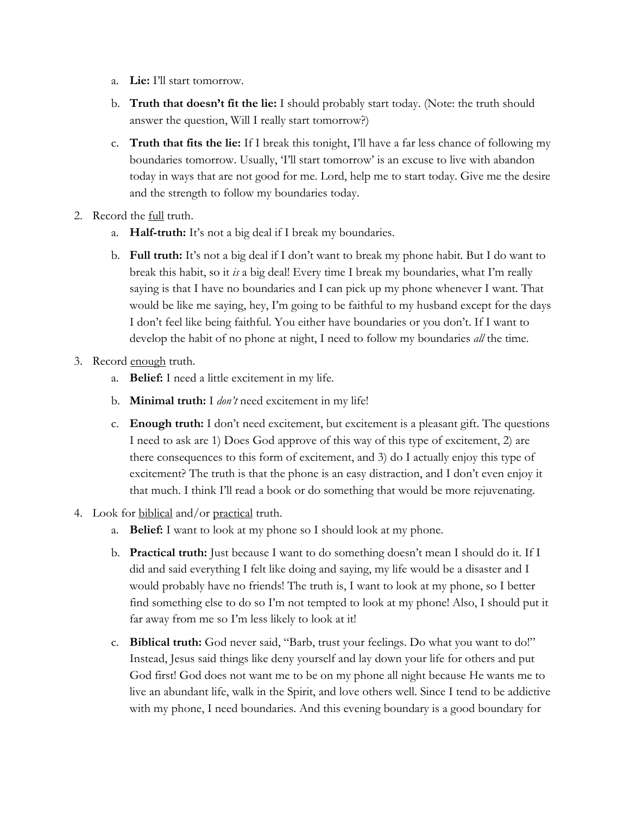- a. **Lie:** I'll start tomorrow.
- b. **Truth that doesn't fit the lie:** I should probably start today. (Note: the truth should answer the question, Will I really start tomorrow?)
- c. **Truth that fits the lie:** If I break this tonight, I'll have a far less chance of following my boundaries tomorrow. Usually, 'I'll start tomorrow' is an excuse to live with abandon today in ways that are not good for me. Lord, help me to start today. Give me the desire and the strength to follow my boundaries today.
- 2. Record the full truth.
	- a. **Half-truth:** It's not a big deal if I break my boundaries.
	- b. **Full truth:** It's not a big deal if I don't want to break my phone habit. But I do want to break this habit, so it *is* a big deal! Every time I break my boundaries, what I'm really saying is that I have no boundaries and I can pick up my phone whenever I want. That would be like me saying, hey, I'm going to be faithful to my husband except for the days I don't feel like being faithful. You either have boundaries or you don't. If I want to develop the habit of no phone at night, I need to follow my boundaries *all* the time.
- 3. Record enough truth.
	- a. **Belief:** I need a little excitement in my life.
	- b. **Minimal truth:** I *don't* need excitement in my life!
	- c. **Enough truth:** I don't need excitement, but excitement is a pleasant gift. The questions I need to ask are 1) Does God approve of this way of this type of excitement, 2) are there consequences to this form of excitement, and 3) do I actually enjoy this type of excitement? The truth is that the phone is an easy distraction, and I don't even enjoy it that much. I think I'll read a book or do something that would be more rejuvenating.
- 4. Look for biblical and/or practical truth.
	- a. **Belief:** I want to look at my phone so I should look at my phone.
	- b. **Practical truth:** Just because I want to do something doesn't mean I should do it. If I did and said everything I felt like doing and saying, my life would be a disaster and I would probably have no friends! The truth is, I want to look at my phone, so I better find something else to do so I'm not tempted to look at my phone! Also, I should put it far away from me so I'm less likely to look at it!
	- c. **Biblical truth:** God never said, "Barb, trust your feelings. Do what you want to do!" Instead, Jesus said things like deny yourself and lay down your life for others and put God first! God does not want me to be on my phone all night because He wants me to live an abundant life, walk in the Spirit, and love others well. Since I tend to be addictive with my phone, I need boundaries. And this evening boundary is a good boundary for